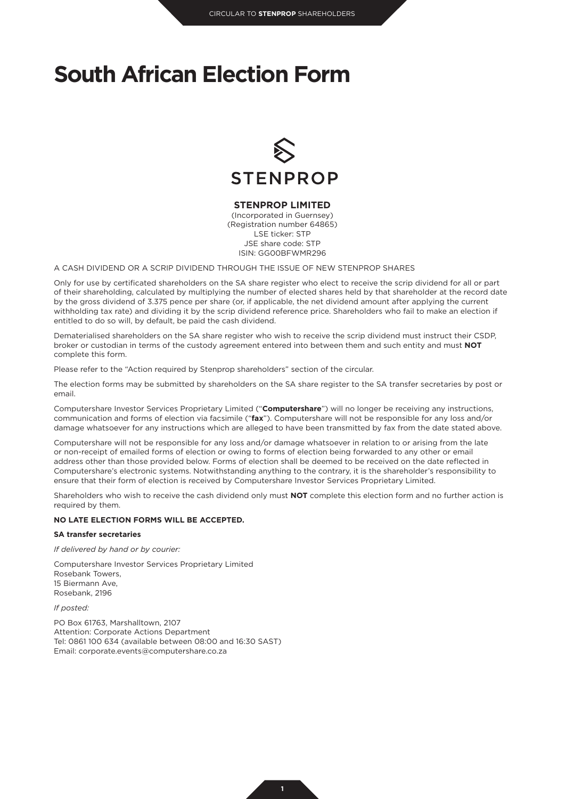## **South African Election Form**



## **STENPROP LIMITED**

(Incorporated in Guernsey) (Registration number 64865) LSE ticker: STP JSE share code: STP ISIN: GG00BFWMR296

A CASH DIVIDEND OR A SCRIP DIVIDEND THROUGH THE ISSUE OF NEW STENPROP SHARES

Only for use by certificated shareholders on the SA share register who elect to receive the scrip dividend for all or part of their shareholding, calculated by multiplying the number of elected shares held by that shareholder at the record date by the gross dividend of 3.375 pence per share (or, if applicable, the net dividend amount after applying the current withholding tax rate) and dividing it by the scrip dividend reference price. Shareholders who fail to make an election if entitled to do so will, by default, be paid the cash dividend.

Dematerialised shareholders on the SA share register who wish to receive the scrip dividend must instruct their CSDP, broker or custodian in terms of the custody agreement entered into between them and such entity and must **NOT** complete this form.

Please refer to the "Action required by Stenprop shareholders" section of the circular.

The election forms may be submitted by shareholders on the SA share register to the SA transfer secretaries by post or email.

Computershare Investor Services Proprietary Limited ("**Computershare**") will no longer be receiving any instructions, communication and forms of election via facsimile ("**fax**"). Computershare will not be responsible for any loss and/or damage whatsoever for any instructions which are alleged to have been transmitted by fax from the date stated above.

Computershare will not be responsible for any loss and/or damage whatsoever in relation to or arising from the late or non-receipt of emailed forms of election or owing to forms of election being forwarded to any other or email address other than those provided below. Forms of election shall be deemed to be received on the date reflected in Computershare's electronic systems. Notwithstanding anything to the contrary, it is the shareholder's responsibility to ensure that their form of election is received by Computershare Investor Services Proprietary Limited.

Shareholders who wish to receive the cash dividend only must **NOT** complete this election form and no further action is required by them.

### **NO LATE ELECTION FORMS WILL BE ACCEPTED.**

#### **SA transfer secretaries**

*If delivered by hand or by courier:*

Computershare Investor Services Proprietary Limited Rosebank Towers, 15 Biermann Ave, Rosebank, 2196

*If posted:*

PO Box 61763, Marshalltown, 2107 Attention: Corporate Actions Department Tel: 0861 100 634 (available between 08:00 and 16:30 SAST) Email: corporate.events@computershare.co.za

**1**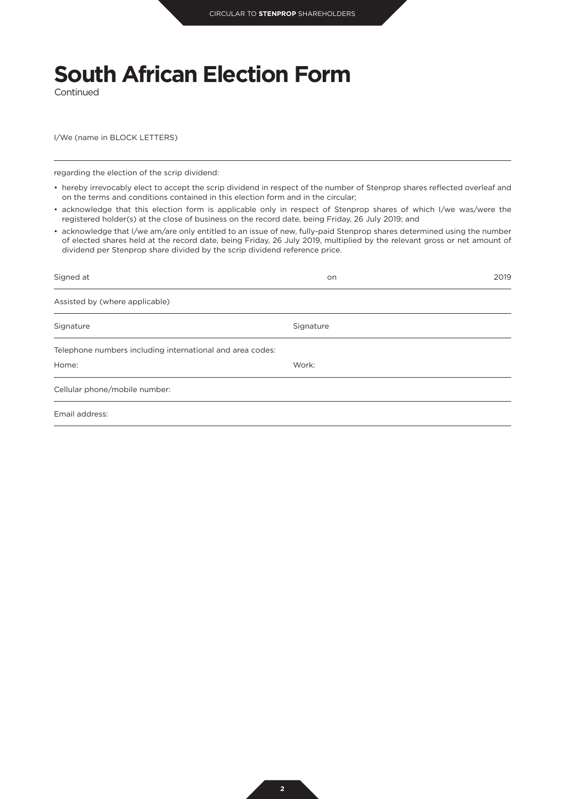# **South African Election Form**

Continued

I/We (name in BLOCK LETTERS)

regarding the election of the scrip dividend:

- hereby irrevocably elect to accept the scrip dividend in respect of the number of Stenprop shares reflected overleaf and on the terms and conditions contained in this election form and in the circular;
- acknowledge that this election form is applicable only in respect of Stenprop shares of which I/we was/were the registered holder(s) at the close of business on the record date, being Friday, 26 July 2019; and
- acknowledge that I/we am/are only entitled to an issue of new, fully-paid Stenprop shares determined using the number of elected shares held at the record date, being Friday, 26 July 2019, multiplied by the relevant gross or net amount of dividend per Stenprop share divided by the scrip dividend reference price.

| Signed at                                                 | on        | 2019 |
|-----------------------------------------------------------|-----------|------|
| Assisted by (where applicable)                            |           |      |
| Signature                                                 | Signature |      |
| Telephone numbers including international and area codes: |           |      |
| Home:                                                     | Work:     |      |
| Cellular phone/mobile number:                             |           |      |
| Email address:                                            |           |      |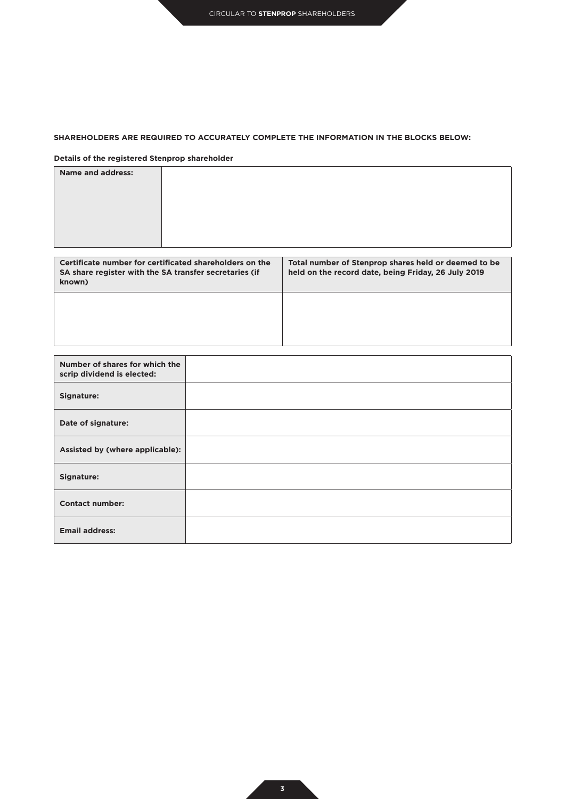## **SHAREHOLDERS ARE REQUIRED TO ACCURATELY COMPLETE THE INFORMATION IN THE BLOCKS BELOW:**

## **Details of the registered Stenprop shareholder**

| <b>Name and address:</b> |  |
|--------------------------|--|
|                          |  |
|                          |  |
|                          |  |
|                          |  |
|                          |  |

| Certificate number for certificated shareholders on the<br>SA share register with the SA transfer secretaries (if<br>known) | Total number of Stenprop shares held or deemed to be<br>held on the record date, being Friday, 26 July 2019 |
|-----------------------------------------------------------------------------------------------------------------------------|-------------------------------------------------------------------------------------------------------------|
|                                                                                                                             |                                                                                                             |

| Number of shares for which the<br>scrip dividend is elected: |  |
|--------------------------------------------------------------|--|
| Signature:                                                   |  |
| Date of signature:                                           |  |
| Assisted by (where applicable):                              |  |
| Signature:                                                   |  |
| <b>Contact number:</b>                                       |  |
| <b>Email address:</b>                                        |  |